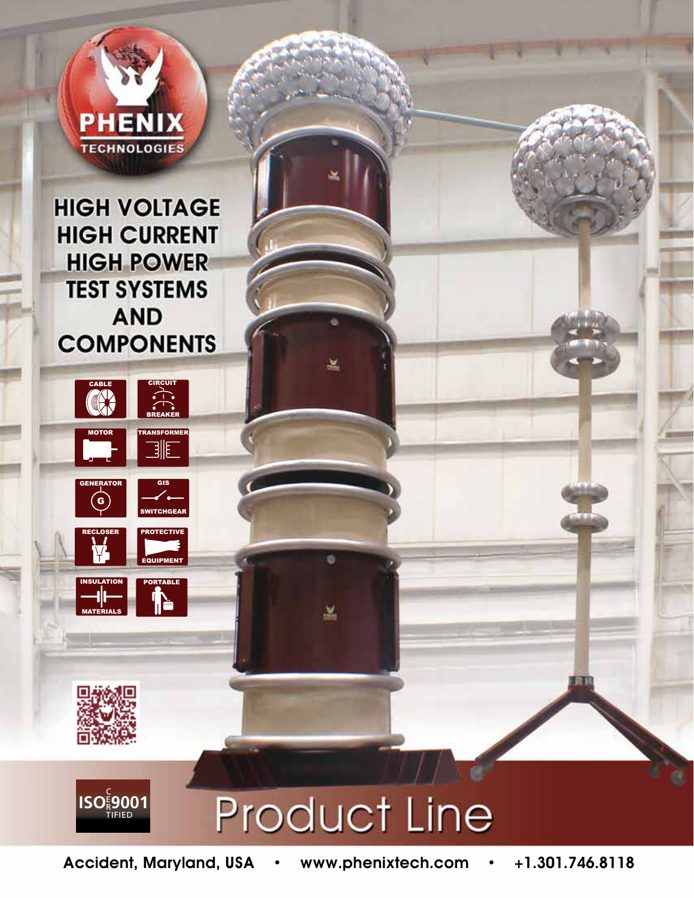

**HIGH VOLTAGE HIGH CURRENT HIGH POWER TEST SYSTEMS AND COMPONENTS** 

 $\hat{\mathbb{R}}$ 

TRANSFORMER

SWITCHGEAR

**PROTECTIVE** 

PORTABLE

∱⊫

EQUIPMENT

CABLE COMP

MOTOR

 $\epsilon$ 

RECLOSER

INSULATION

MATERIALS

**ISO 2001** 

GENERATOR GIS



兰

ö

蒕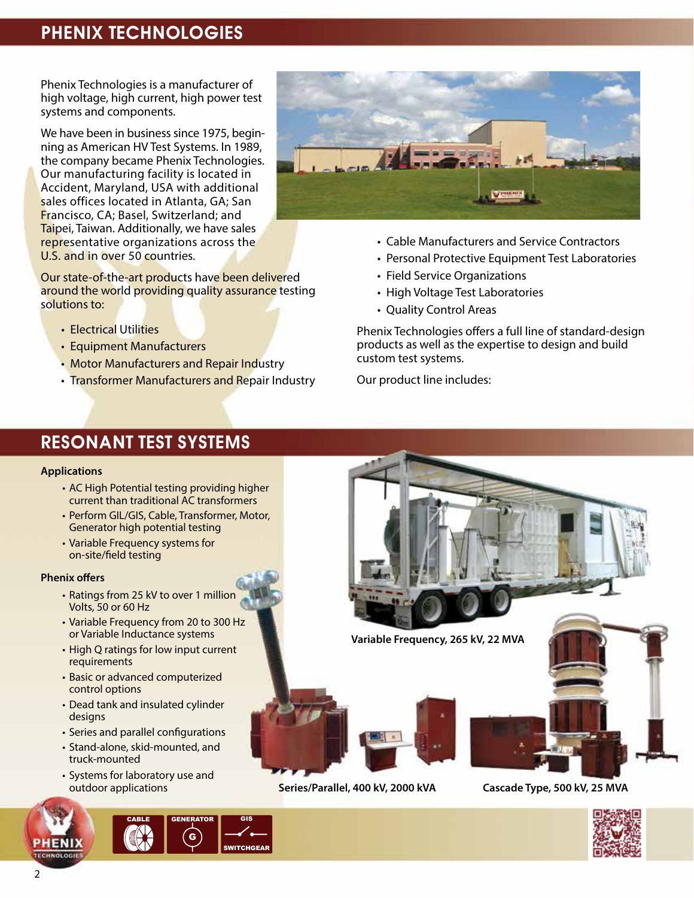## Phenix Technologies

Phenix Technologies is a manufacturer of high voltage, high current, high power test systems and components.

We have been in business since 1975, beginning as American HV Test Systems. In 1989, the company became Phenix Technologies. Our manufacturing facility is located in Accident, Maryland, USA with additional sales offices located in Atlanta, GA; San Francisco, CA; Basel, Switzerland; and Taipei, Taiwan. Additionally, we have sales representative organizations across the U.S. and in over 50 countries.

Our state-of-the-art products have been delivered around the world providing quality assurance testing solutions to:

- Electrical Utilities
- Equipment Manufacturers
- Motor Manufacturers and Repair Industry
- Transformer Manufacturers and Repair Industry



- Cable Manufacturers and Service Contractors
- Personal Protective Equipment Test Laboratories
- Field Service Organizations
- High Voltage Test Laboratories
- Quality Control Areas

Phenix Technologies offers a full line of standard-design products as well as the expertise to design and build custom test systems.

Our product line includes:

### Resonant Test Systems

#### **Applications**

- AC High Potential testing providing higher current than traditional AC transformers
- Perform GIL/GIS, Cable, Transformer, Motor, Generator high potential testing
- Variable Frequency systems for on-site/field testing

#### **Phenix offers**

- Ratings from 25 kV to over 1 million Volts, 50 or 60 Hz
- Variable Frequency from 20 to 300 Hz or Variable Inductance systems
- High Q ratings for low input current requirements
- Basic or advanced computerized control options
- Dead tank and insulated cylinder designs
- Series and parallel configurations
- Stand-alone, skid-mounted, and truck-mounted
- Systems for laboratory use and outdoor applications







**Variable Frequency, 265 kV, 22 MVA** 





**Series/Parallel, 400 kV, 2000 kVA Cascade Type, 500 kV, 25 MVA**



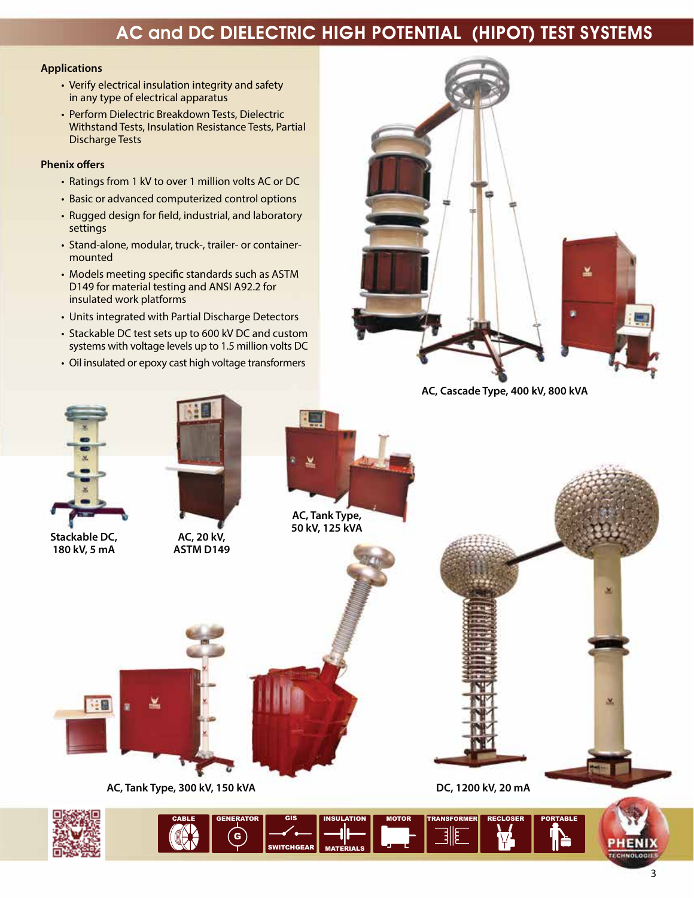# AC and DC Dielectric High Potential (Hipot) Test Systems

#### **Applications**

- Verify electrical insulation integrity and safety in any type of electrical apparatus
- Perform Dielectric Breakdown Tests, Dielectric Withstand Tests, Insulation Resistance Tests, Partial Discharge Tests

#### **Phenix offers**

- Ratings from 1 kV to over 1 million volts AC or DC
- Basic or advanced computerized control options
- Rugged design for field, industrial, and laboratory settings
- Stand-alone, modular, truck-, trailer- or container mounted
- Models meeting specific standards such as ASTM D149 for material testing and ANSI A92.2 for insulated work platforms
- Units integrated with Partial Discharge Detectors
- Stackable DC test sets up to 600 kV DC and custom systems with voltage levels up to 1.5 million volts DC
- Oil insulated or epoxy cast high voltage transformers



**AC, Cascade Type, 400 kV, 800 kVA**



**Stackable DC, <br>180 kV, 5 mA ASTM D149** 180 kV, 5 mA





**AC, Tank Type, 50 kV, 125 kVA**



**Series/Parallel, 400 kV, 2000 kVA Cascade Type, 500 kV, 25 MVA AC, Tank Type, 300 kV, 150 kVA DC, 1200 kV, 20 mA**

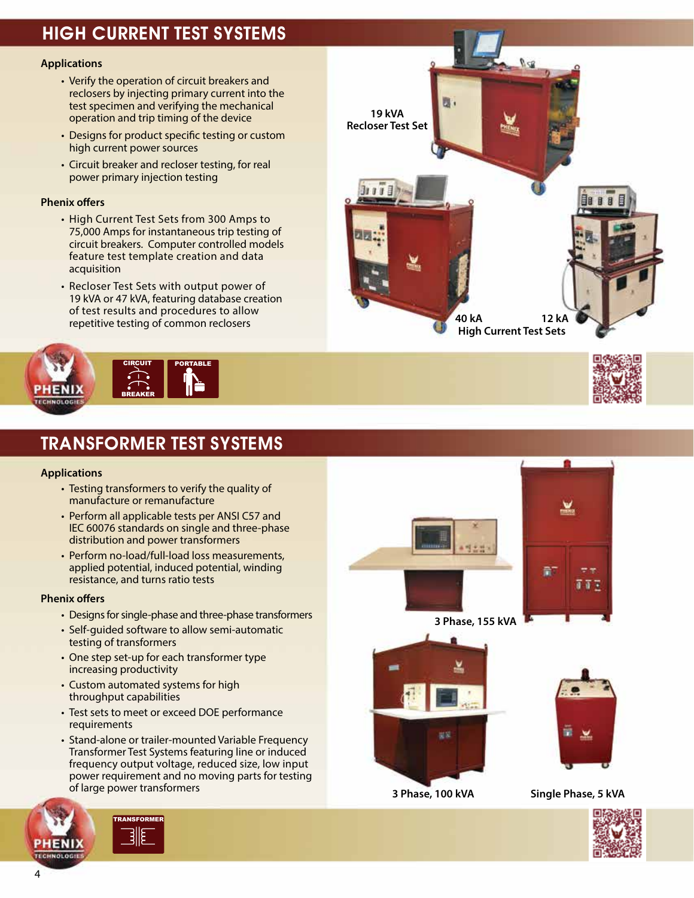# High Current Test Systems

#### **Applications**

- Verify the operation of circuit breakers and reclosers by injecting primary current into the test specimen and verifying the mechanical operation and trip timing of the device
- Designs for product specific testing or custom high current power sources
- Circuit breaker and recloser testing, for real power primary injection testing

#### **Phenix offers**

- High Current Test Sets from 300 Amps to 75,000 Amps for instantaneous trip testing of circuit breakers. Computer controlled models feature test template creation and data acquisition
- Recloser Test Sets with output power of 19 kVA or 47 kVA, featuring database creation of test results and procedures to allow repetitive testing of common reclosers



## Transformer Test Systems

#### **Applications**

- Testing transformers to verify the quality of manufacture or remanufacture
- Perform all applicable tests per ANSI C57 and IEC 60076 standards on single and three-phase distribution and power transformers
- Perform no-load/full-load loss measurements, applied potential, induced potential, winding resistance, and turns ratio tests

#### **Phenix offers**

- Designs for single-phase and three-phase transformers
- Self-guided software to allow semi-automatic testing of transformers
- One step set-up for each transformer type increasing productivity
- Custom automated systems for high throughput capabilities
- Test sets to meet or exceed DOE performance requirements
- Stand-alone or trailer-mounted Variable Frequency Transformer Test Systems featuring line or induced frequency output voltage, reduced size, low input power requirement and no moving parts for testing of large power transformers















 **3 Phase, 100 kVA Single Phase, 5 kVA**

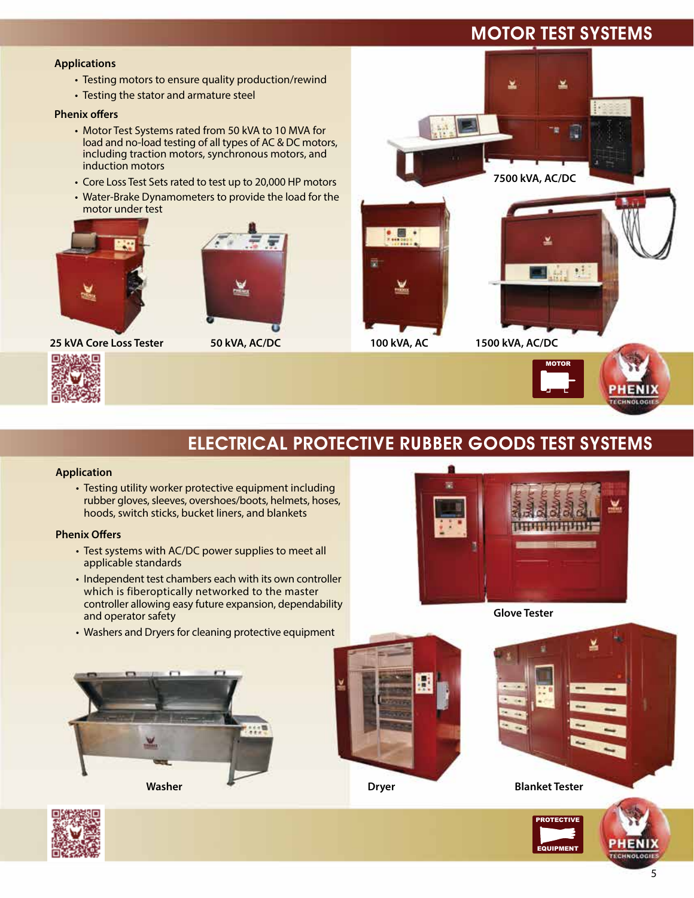## Motor Test Systems

ᆇ

#### **Applications**

- Testing motors to ensure quality production/rewind
- Testing the stator and armature steel

#### **Phenix offers**

- Motor Test Systems rated from 50 kVA to 10 MVA for load and no-load testing of all types of AC & DC motors, including traction motors, synchronous motors, and induction motors
- Core Loss Test Sets rated to test up to 20,000 HP motors
- Water-Brake Dynamometers to provide the load for the motor under test





**25 kVA Core Loss Tester 50 kVA, AC/DC 100 kVA, AC 1500 kVA, AC/DC**











## Electrical Protective Rubber Goods Test Systems

#### **Application**

• Testing utility worker protective equipment including rubber gloves, sleeves, overshoes/boots, helmets, hoses, hoods, switch sticks, bucket liners, and blankets

#### **Phenix Offers**

- Test systems with AC/DC power supplies to meet all applicable standards
- Independent test chambers each with its own controller which is fiberoptically networked to the master controller allowing easy future expansion, dependability and operator safety
- Washers and Dryers for cleaning protective equipment





**Washer Communist Communist Communist Communist Communist Communist Communist Communist Communist Communist Communist Communist Communist Communist Communist Communist Communist Communist Communist Communist Communist Comm** 

**PROTECTIVE** 

**QUIPMENT** 

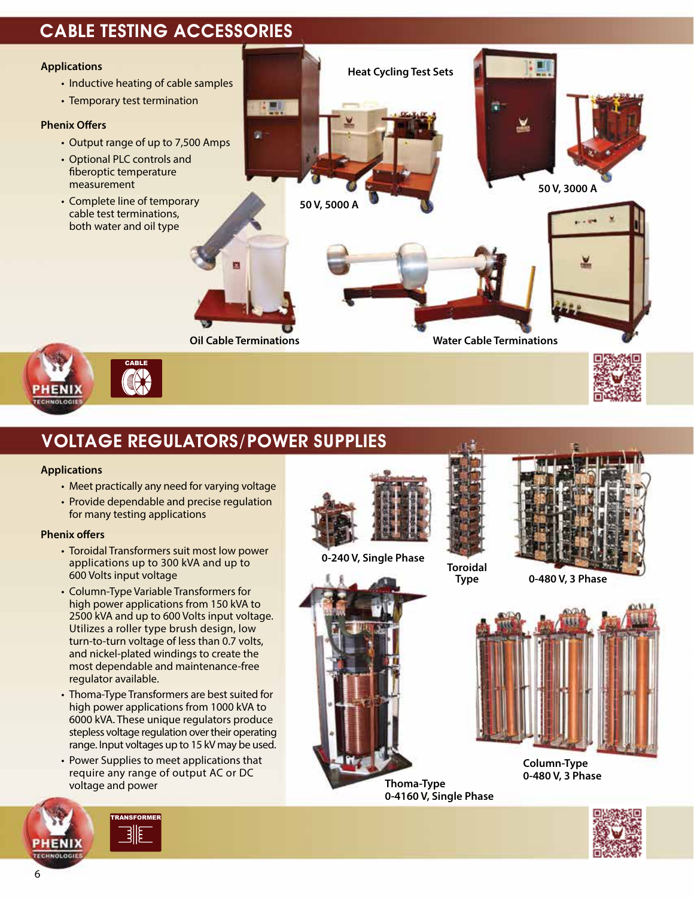## Cable Testing accessories



## Voltage Regulators/Power Supplies

#### **Applications**

- Meet practically any need for varying voltage
- Provide dependable and precise regulation for many testing applications

#### **Phenix offers**

- Toroidal Transformers suit most low power applications up to 300 kVA and up to 600 Volts input voltage
- Column-Type Variable Transformers for high power applications from 150 kVA to 2500 kVA and up to 600 Volts input voltage. Utilizes a roller type brush design, low turn-to-turn voltage of less than 0.7 volts, and nickel-plated windings to create the most dependable and maintenance-free regulator available.
- Thoma-Type Transformers are best suited for high power applications from 1000 kVA to 6000 kVA. These unique regulators produce stepless voltage regulation over their operating range. Input voltages up to 15 kV may be used.
- Power Supplies to meet applications that require any range of output AC or DC voltage and power



**0-240 V, Single Phase**





**Toroidal**



**Type 0-480 V, 3 Phase**



**Column-Type 0-480 V, 3 Phase**



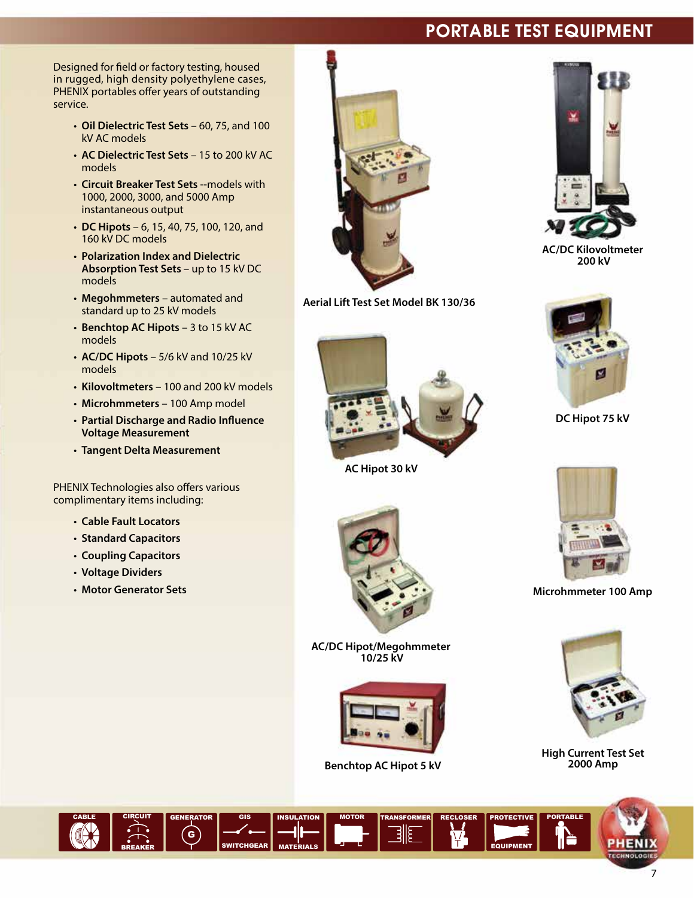## Portable Test Equipment

Designed for field or factory testing, housed in rugged, high density polyethylene cases, PHENIX portables offer years of outstanding service.

- **Oil Dielectric Test Sets** 60, 75, and 100 kV AC models
- **AC Dielectric Test Sets** 15 to 200 kV AC models
- **Circuit Breaker Test Sets** --models with 1000, 2000, 3000, and 5000 Amp instantaneous output
- **DC Hipots** 6, 15, 40, 75, 100, 120, and 160 kV DC models
- **Polarization Index and Dielectric Absorption Test Sets** – up to 15 kV DC models
- **Megohmmeters** automated and standard up to 25 kV models
- **Benchtop AC Hipots** 3 to 15 kV AC models
- **AC/DC Hipots** 5/6 kV and 10/25 kV models
- **Kilovoltmeters** 100 and 200 kV models
- **Microhmmeters** 100 Amp model
- **Partial Discharge and Radio Influence Voltage Measurement**
- **Tangent Delta Measurement**

PHENIX Technologies also offers various complimentary items including:

- **Cable Fault Locators**
- **Standard Capacitors**
- **Coupling Capacitors**
- **Voltage Dividers**
- **Motor Generator Sets**



**Aerial Lift Test Set Model BK 130/36**



**AC Hipot 30 kV**



**AC/DC Hipot/Megohmmeter 10/25 kV**



**Benchtop AC Hipot 5 kV**

TRANSFORMER RECLOSER



**AC/DC Kilovoltmeter 200 kV**



**DC Hipot 75 kV**



**Microhmmeter 100 Amp**



**High Current Test Set 2000 Amp**

**ROTECTIVE** 

EQUIPMENT